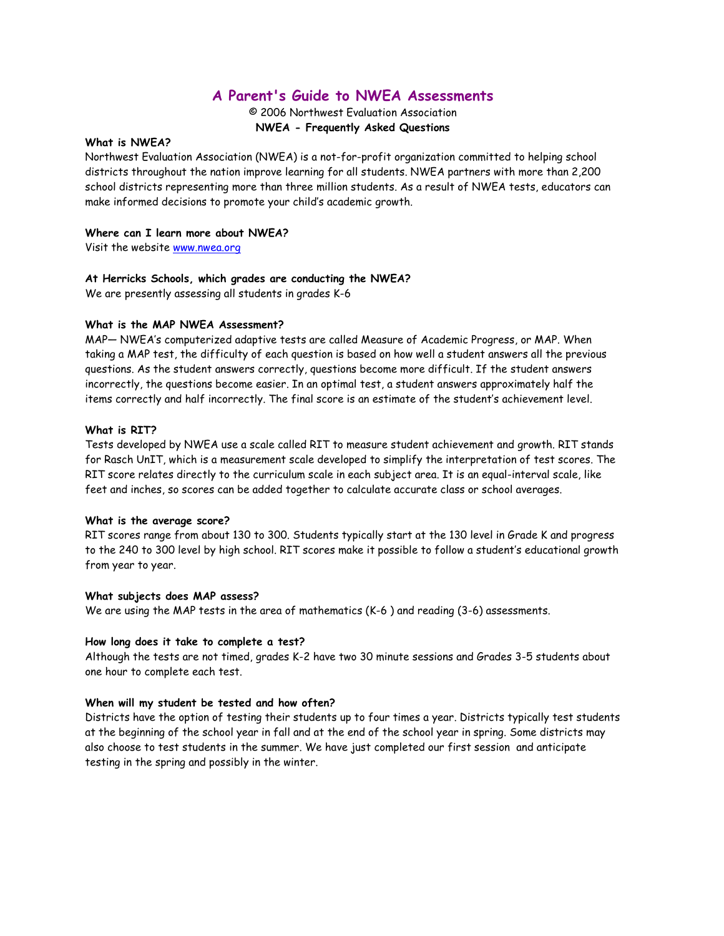# **A Parent's Guide to NWEA Assessments**

© 2006 Northwest Evaluation Association **NWEA - Frequently Asked Questions**

# **What is NWEA?**

Northwest Evaluation Association (NWEA) is a not-for-profit organization committed to helping school districts throughout the nation improve learning for all students. NWEA partners with more than 2,200 school districts representing more than three million students. As a result of NWEA tests, educators can make informed decisions to promote your child's academic growth.

# **Where can I learn more about NWEA?**

Visit the website www.nwea.org

# **At Herricks Schools, which grades are conducting the NWEA?**

We are presently assessing all students in grades K-6

# **What is the MAP NWEA Assessment?**

MAP— NWEA's computerized adaptive tests are called Measure of Academic Progress, or MAP. When taking a MAP test, the difficulty of each question is based on how well a student answers all the previous questions. As the student answers correctly, questions become more difficult. If the student answers incorrectly, the questions become easier. In an optimal test, a student answers approximately half the items correctly and half incorrectly. The final score is an estimate of the student's achievement level.

# **What is RIT?**

Tests developed by NWEA use a scale called RIT to measure student achievement and growth. RIT stands for Rasch UnIT, which is a measurement scale developed to simplify the interpretation of test scores. The RIT score relates directly to the curriculum scale in each subject area. It is an equal-interval scale, like feet and inches, so scores can be added together to calculate accurate class or school averages.

# **What is the average score?**

RIT scores range from about 130 to 300. Students typically start at the 130 level in Grade K and progress to the 240 to 300 level by high school. RIT scores make it possible to follow a student's educational growth from year to year.

# **What subjects does MAP assess?**

We are using the MAP tests in the area of mathematics (K-6 ) and reading (3-6) assessments.

# **How long does it take to complete a test?**

Although the tests are not timed, grades K-2 have two 30 minute sessions and Grades 3-5 students about one hour to complete each test.

# **When will my student be tested and how often?**

Districts have the option of testing their students up to four times a year. Districts typically test students at the beginning of the school year in fall and at the end of the school year in spring. Some districts may also choose to test students in the summer. We have just completed our first session and anticipate testing in the spring and possibly in the winter.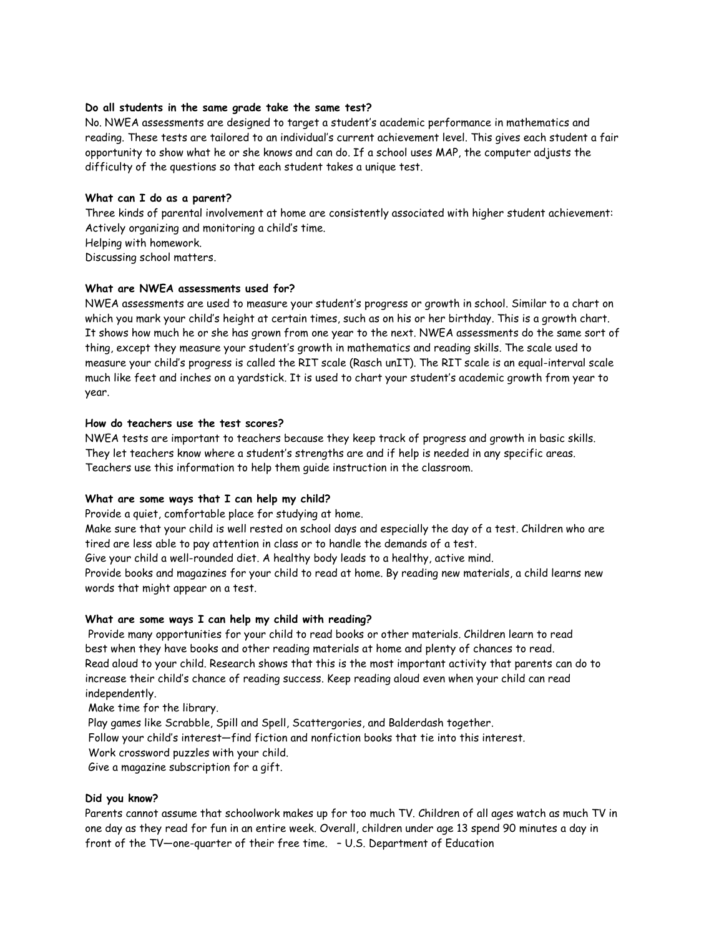#### **Do all students in the same grade take the same test?**

No. NWEA assessments are designed to target a student's academic performance in mathematics and reading. These tests are tailored to an individual's current achievement level. This gives each student a fair opportunity to show what he or she knows and can do. If a school uses MAP, the computer adjusts the difficulty of the questions so that each student takes a unique test.

#### **What can I do as a parent?**

Three kinds of parental involvement at home are consistently associated with higher student achievement: Actively organizing and monitoring a child's time.

Helping with homework.

Discussing school matters.

# **What are NWEA assessments used for?**

NWEA assessments are used to measure your student's progress or growth in school. Similar to a chart on which you mark your child's height at certain times, such as on his or her birthday. This is a growth chart. It shows how much he or she has grown from one year to the next. NWEA assessments do the same sort of thing, except they measure your student's growth in mathematics and reading skills. The scale used to measure your child's progress is called the RIT scale (Rasch unIT). The RIT scale is an equal-interval scale much like feet and inches on a yardstick. It is used to chart your student's academic growth from year to year.

#### **How do teachers use the test scores?**

NWEA tests are important to teachers because they keep track of progress and growth in basic skills. They let teachers know where a student's strengths are and if help is needed in any specific areas. Teachers use this information to help them guide instruction in the classroom.

# **What are some ways that I can help my child?**

Provide a quiet, comfortable place for studying at home.

Make sure that your child is well rested on school days and especially the day of a test. Children who are tired are less able to pay attention in class or to handle the demands of a test.

Give your child a well-rounded diet. A healthy body leads to a healthy, active mind.

Provide books and magazines for your child to read at home. By reading new materials, a child learns new words that might appear on a test.

# **What are some ways I can help my child with reading?**

 Provide many opportunities for your child to read books or other materials. Children learn to read best when they have books and other reading materials at home and plenty of chances to read. Read aloud to your child. Research shows that this is the most important activity that parents can do to increase their child's chance of reading success. Keep reading aloud even when your child can read independently.

Make time for the library.

Play games like Scrabble, Spill and Spell, Scattergories, and Balderdash together.

Follow your child's interest—find fiction and nonfiction books that tie into this interest.

Work crossword puzzles with your child.

Give a magazine subscription for a gift.

# **Did you know?**

Parents cannot assume that schoolwork makes up for too much TV. Children of all ages watch as much TV in one day as they read for fun in an entire week. Overall, children under age 13 spend 90 minutes a day in front of the TV—one-quarter of their free time. – U.S. Department of Education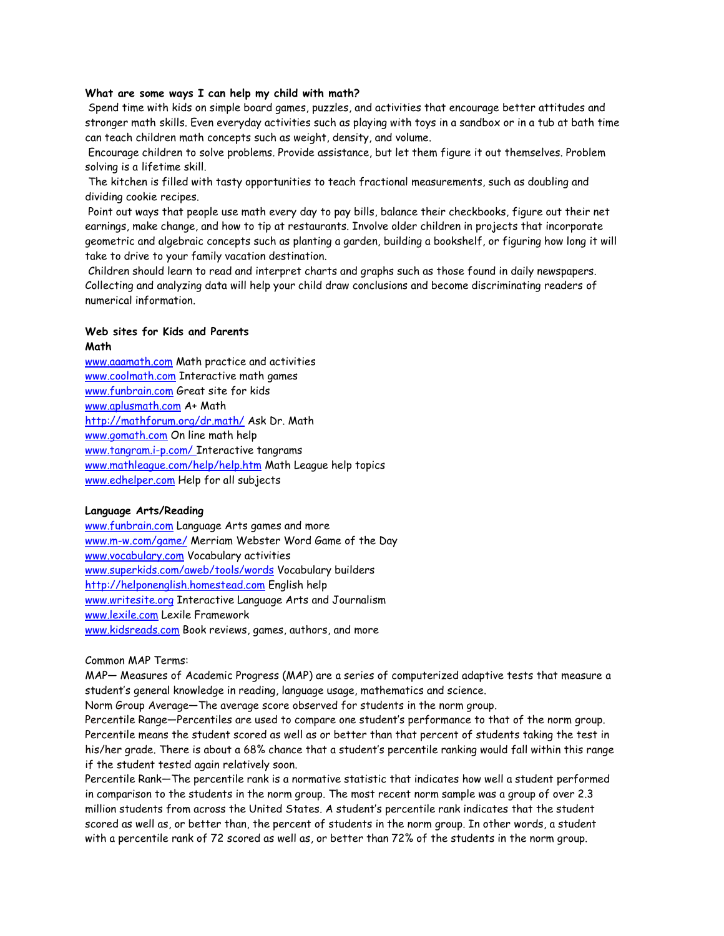#### **What are some ways I can help my child with math?**

 Spend time with kids on simple board games, puzzles, and activities that encourage better attitudes and stronger math skills. Even everyday activities such as playing with toys in a sandbox or in a tub at bath time can teach children math concepts such as weight, density, and volume.

 Encourage children to solve problems. Provide assistance, but let them figure it out themselves. Problem solving is a lifetime skill.

 The kitchen is filled with tasty opportunities to teach fractional measurements, such as doubling and dividing cookie recipes.

 Point out ways that people use math every day to pay bills, balance their checkbooks, figure out their net earnings, make change, and how to tip at restaurants. Involve older children in projects that incorporate geometric and algebraic concepts such as planting a garden, building a bookshelf, or figuring how long it will take to drive to your family vacation destination.

 Children should learn to read and interpret charts and graphs such as those found in daily newspapers. Collecting and analyzing data will help your child draw conclusions and become discriminating readers of numerical information.

#### **Web sites for Kids and Parents Math**

www.aaamath.com Math practice and activities www.coolmath.com Interactive math games www.funbrain.com Great site for kids www.aplusmath.com A+ Math http://mathforum.org/dr.math/ Ask Dr. Math www.gomath.com On line math help www.tangram.i-p.com/ Interactive tangrams www.mathleague.com/help/help.htm Math League help topics www.edhelper.com Help for all subjects

#### **Language Arts/Reading**

www.funbrain.com Language Arts games and more www.m-w.com/game/ Merriam Webster Word Game of the Day www.vocabulary.com Vocabulary activities www.superkids.com/aweb/tools/words Vocabulary builders http://helponenglish.homestead.com English help www.writesite.org Interactive Language Arts and Journalism www.lexile.com Lexile Framework www.kidsreads.com Book reviews, games, authors, and more

#### Common MAP Terms:

MAP— Measures of Academic Progress (MAP) are a series of computerized adaptive tests that measure a student's general knowledge in reading, language usage, mathematics and science.

Norm Group Average—The average score observed for students in the norm group.

Percentile Range—Percentiles are used to compare one student's performance to that of the norm group. Percentile means the student scored as well as or better than that percent of students taking the test in his/her grade. There is about a 68% chance that a student's percentile ranking would fall within this range if the student tested again relatively soon.

Percentile Rank—The percentile rank is a normative statistic that indicates how well a student performed in comparison to the students in the norm group. The most recent norm sample was a group of over 2.3 million students from across the United States. A student's percentile rank indicates that the student scored as well as, or better than, the percent of students in the norm group. In other words, a student with a percentile rank of 72 scored as well as, or better than 72% of the students in the norm group.